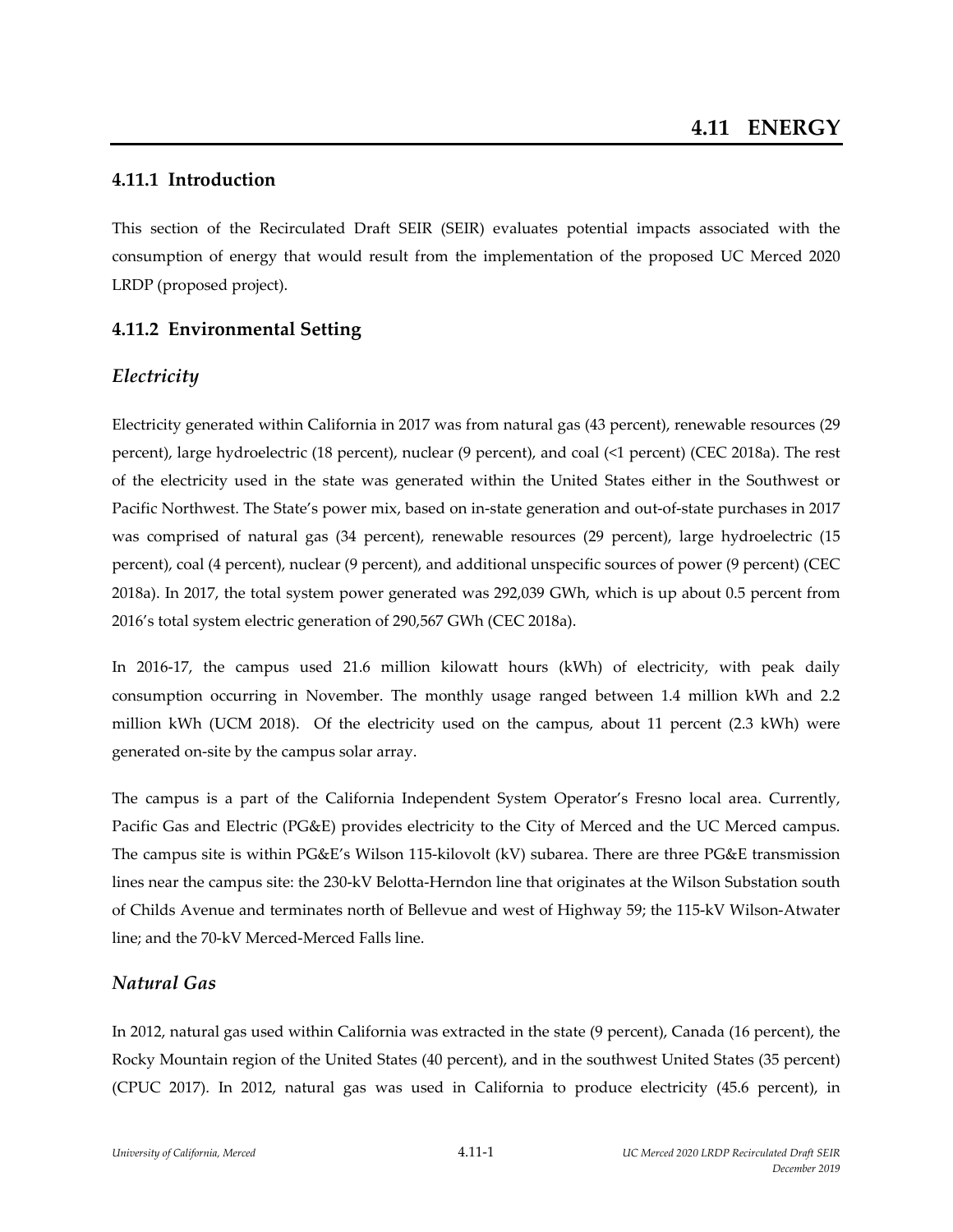# **4.11.1 Introduction**

This section of the Recirculated Draft SEIR (SEIR) evaluates potential impacts associated with the consumption of energy that would result from the implementation of the proposed UC Merced 2020 LRDP (proposed project).

# **4.11.2 Environmental Setting**

# *Electricity*

Electricity generated within California in 2017 was from natural gas (43 percent), renewable resources (29 percent), large hydroelectric (18 percent), nuclear (9 percent), and coal (<1 percent) (CEC 2018a). The rest of the electricity used in the state was generated within the United States either in the Southwest or Pacific Northwest. The State's power mix, based on in‐state generation and out‐of‐state purchases in 2017 was comprised of natural gas (34 percent), renewable resources (29 percent), large hydroelectric (15 percent), coal (4 percent), nuclear (9 percent), and additional unspecific sources of power (9 percent) (CEC 2018a). In 2017, the total system power generated was 292,039 GWh, which is up about 0.5 percent from 2016's total system electric generation of 290,567 GWh (CEC 2018a).

In 2016-17, the campus used 21.6 million kilowatt hours (kWh) of electricity, with peak daily consumption occurring in November. The monthly usage ranged between 1.4 million kWh and 2.2 million kWh (UCM 2018). Of the electricity used on the campus, about 11 percent (2.3 kWh) were generated on‐site by the campus solar array.

The campus is a part of the California Independent System Operator's Fresno local area. Currently, Pacific Gas and Electric (PG&E) provides electricity to the City of Merced and the UC Merced campus. The campus site is within PG&E's Wilson 115‐kilovolt (kV) subarea. There are three PG&E transmission lines near the campus site: the 230‐kV Belotta‐Herndon line that originates at the Wilson Substation south of Childs Avenue and terminates north of Bellevue and west of Highway 59; the 115‐kV Wilson‐Atwater line; and the 70‐kV Merced‐Merced Falls line.

# *Natural Gas*

In 2012, natural gas used within California was extracted in the state (9 percent), Canada (16 percent), the Rocky Mountain region of the United States (40 percent), and in the southwest United States (35 percent) (CPUC 2017). In 2012, natural gas was used in California to produce electricity (45.6 percent), in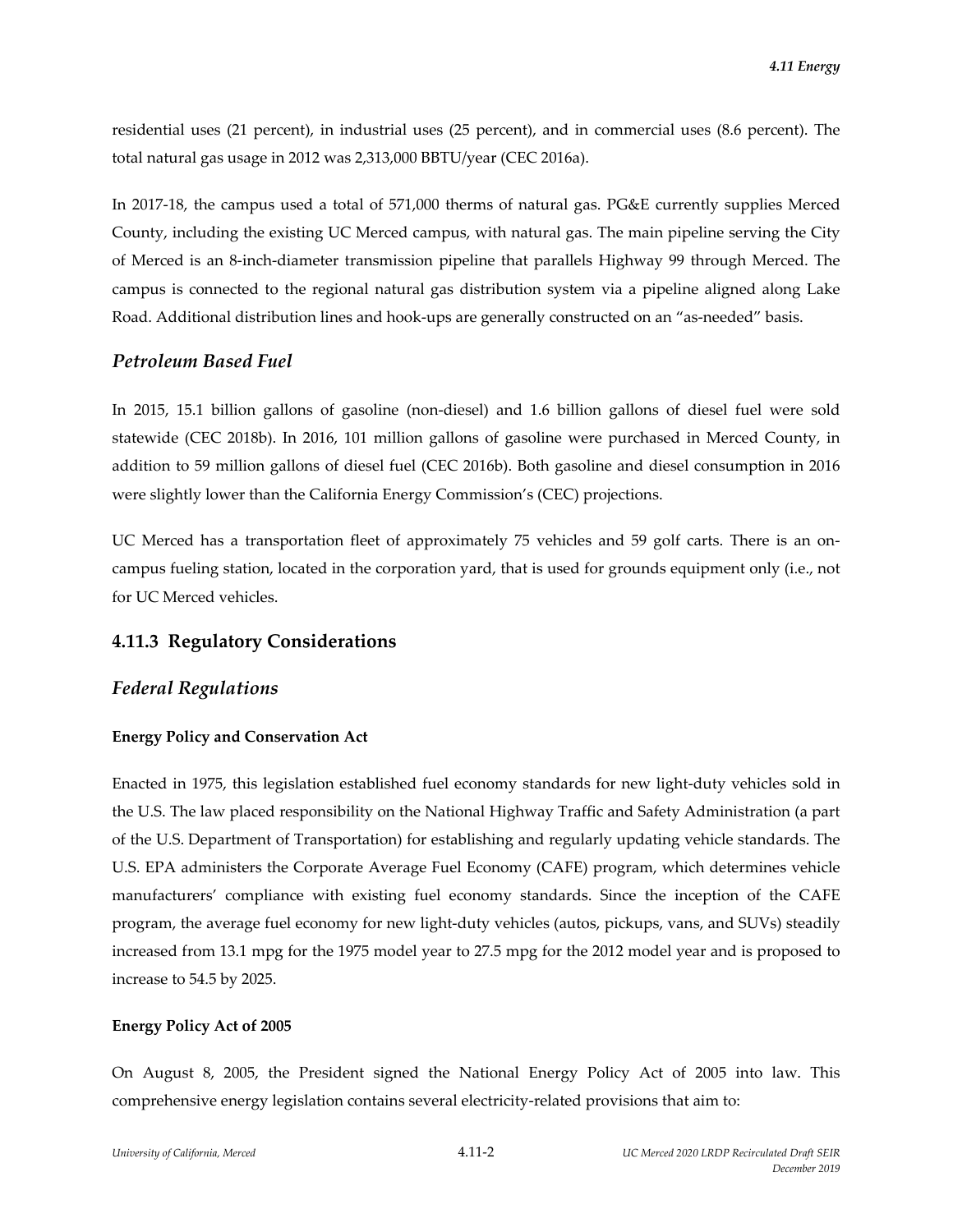residential uses (21 percent), in industrial uses (25 percent), and in commercial uses (8.6 percent). The total natural gas usage in 2012 was 2,313,000 BBTU/year (CEC 2016a).

In 2017-18, the campus used a total of 571,000 therms of natural gas. PG&E currently supplies Merced County, including the existing UC Merced campus, with natural gas. The main pipeline serving the City of Merced is an 8‐inch‐diameter transmission pipeline that parallels Highway 99 through Merced. The campus is connected to the regional natural gas distribution system via a pipeline aligned along Lake Road. Additional distribution lines and hook-ups are generally constructed on an "as-needed" basis.

### *Petroleum Based Fuel*

In 2015, 15.1 billion gallons of gasoline (non-diesel) and 1.6 billion gallons of diesel fuel were sold statewide (CEC 2018b). In 2016, 101 million gallons of gasoline were purchased in Merced County, in addition to 59 million gallons of diesel fuel (CEC 2016b). Both gasoline and diesel consumption in 2016 were slightly lower than the California Energy Commission's (CEC) projections.

UC Merced has a transportation fleet of approximately 75 vehicles and 59 golf carts. There is an oncampus fueling station, located in the corporation yard, that is used for grounds equipment only (i.e., not for UC Merced vehicles.

# **4.11.3 Regulatory Considerations**

### *Federal Regulations*

### **Energy Policy and Conservation Act**

Enacted in 1975, this legislation established fuel economy standards for new light‐duty vehicles sold in the U.S. The law placed responsibility on the National Highway Traffic and Safety Administration (a part of the U.S. Department of Transportation) for establishing and regularly updating vehicle standards. The U.S. EPA administers the Corporate Average Fuel Economy (CAFE) program, which determines vehicle manufacturers' compliance with existing fuel economy standards. Since the inception of the CAFE program, the average fuel economy for new light‐duty vehicles (autos, pickups, vans, and SUVs) steadily increased from 13.1 mpg for the 1975 model year to 27.5 mpg for the 2012 model year and is proposed to increase to 54.5 by 2025.

#### **Energy Policy Act of 2005**

On August 8, 2005, the President signed the National Energy Policy Act of 2005 into law. This comprehensive energy legislation contains several electricity-related provisions that aim to: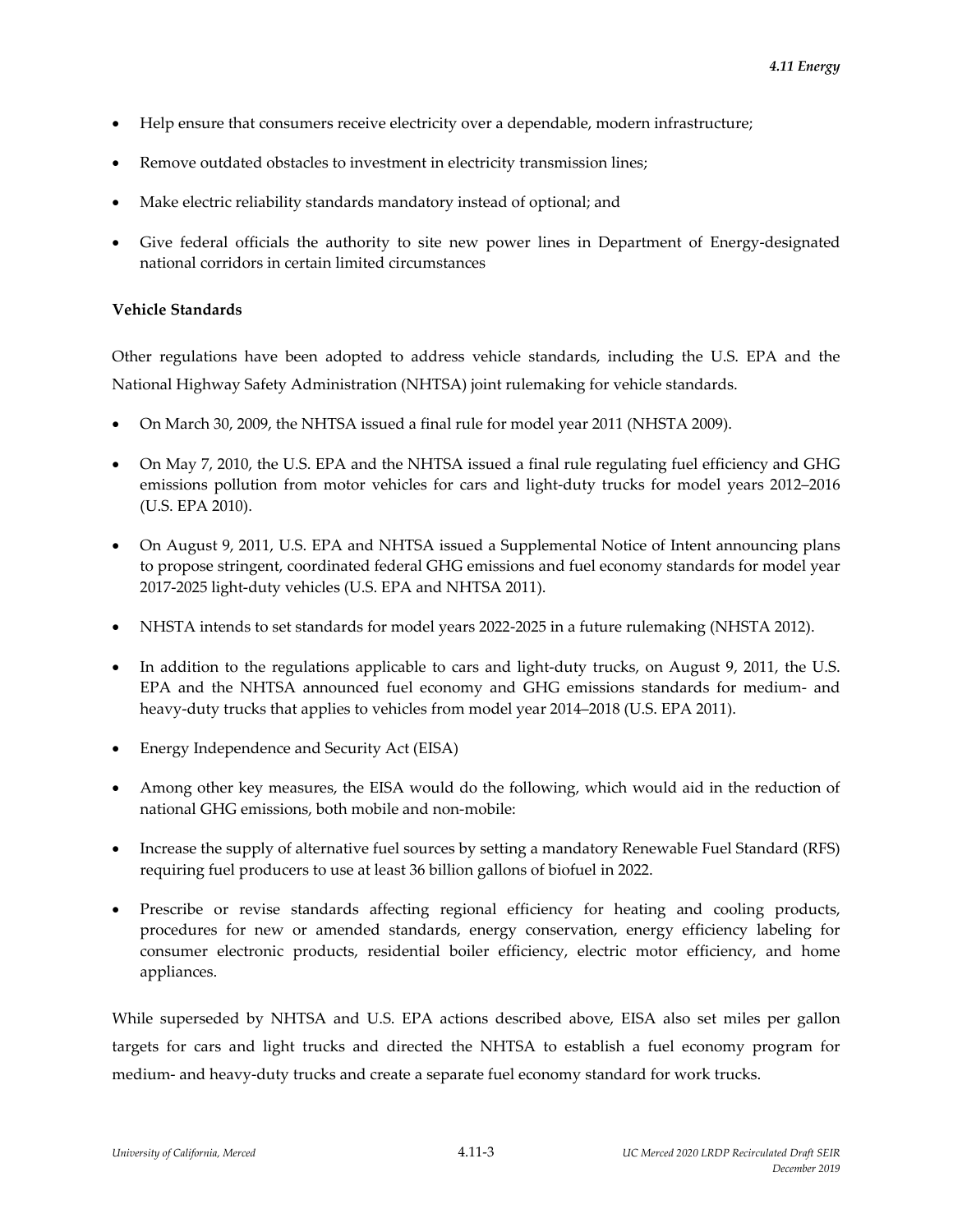- Help ensure that consumers receive electricity over a dependable, modern infrastructure;
- Remove outdated obstacles to investment in electricity transmission lines;
- Make electric reliability standards mandatory instead of optional; and
- Give federal officials the authority to site new power lines in Department of Energy-designated national corridors in certain limited circumstances

#### **Vehicle Standards**

Other regulations have been adopted to address vehicle standards, including the U.S. EPA and the National Highway Safety Administration (NHTSA) joint rulemaking for vehicle standards.

- On March 30, 2009, the NHTSA issued a final rule for model year 2011 (NHSTA 2009).
- On May 7, 2010, the U.S. EPA and the NHTSA issued a final rule regulating fuel efficiency and GHG emissions pollution from motor vehicles for cars and light-duty trucks for model years 2012–2016 (U.S. EPA 2010).
- On August 9, 2011, U.S. EPA and NHTSA issued a Supplemental Notice of Intent announcing plans to propose stringent, coordinated federal GHG emissions and fuel economy standards for model year 2017‐2025 light‐duty vehicles (U.S. EPA and NHTSA 2011).
- NHSTA intends to set standards for model years 2022‐2025 in a future rulemaking (NHSTA 2012).
- In addition to the regulations applicable to cars and light-duty trucks, on August 9, 2011, the U.S. EPA and the NHTSA announced fuel economy and GHG emissions standards for medium‐ and heavy-duty trucks that applies to vehicles from model year 2014–2018 (U.S. EPA 2011).
- Energy Independence and Security Act (EISA)
- Among other key measures, the EISA would do the following, which would aid in the reduction of national GHG emissions, both mobile and non‐mobile:
- Increase the supply of alternative fuel sources by setting a mandatory Renewable Fuel Standard (RFS) requiring fuel producers to use at least 36 billion gallons of biofuel in 2022.
- Prescribe or revise standards affecting regional efficiency for heating and cooling products, procedures for new or amended standards, energy conservation, energy efficiency labeling for consumer electronic products, residential boiler efficiency, electric motor efficiency, and home appliances.

While superseded by NHTSA and U.S. EPA actions described above, EISA also set miles per gallon targets for cars and light trucks and directed the NHTSA to establish a fuel economy program for medium‐ and heavy‐duty trucks and create a separate fuel economy standard for work trucks.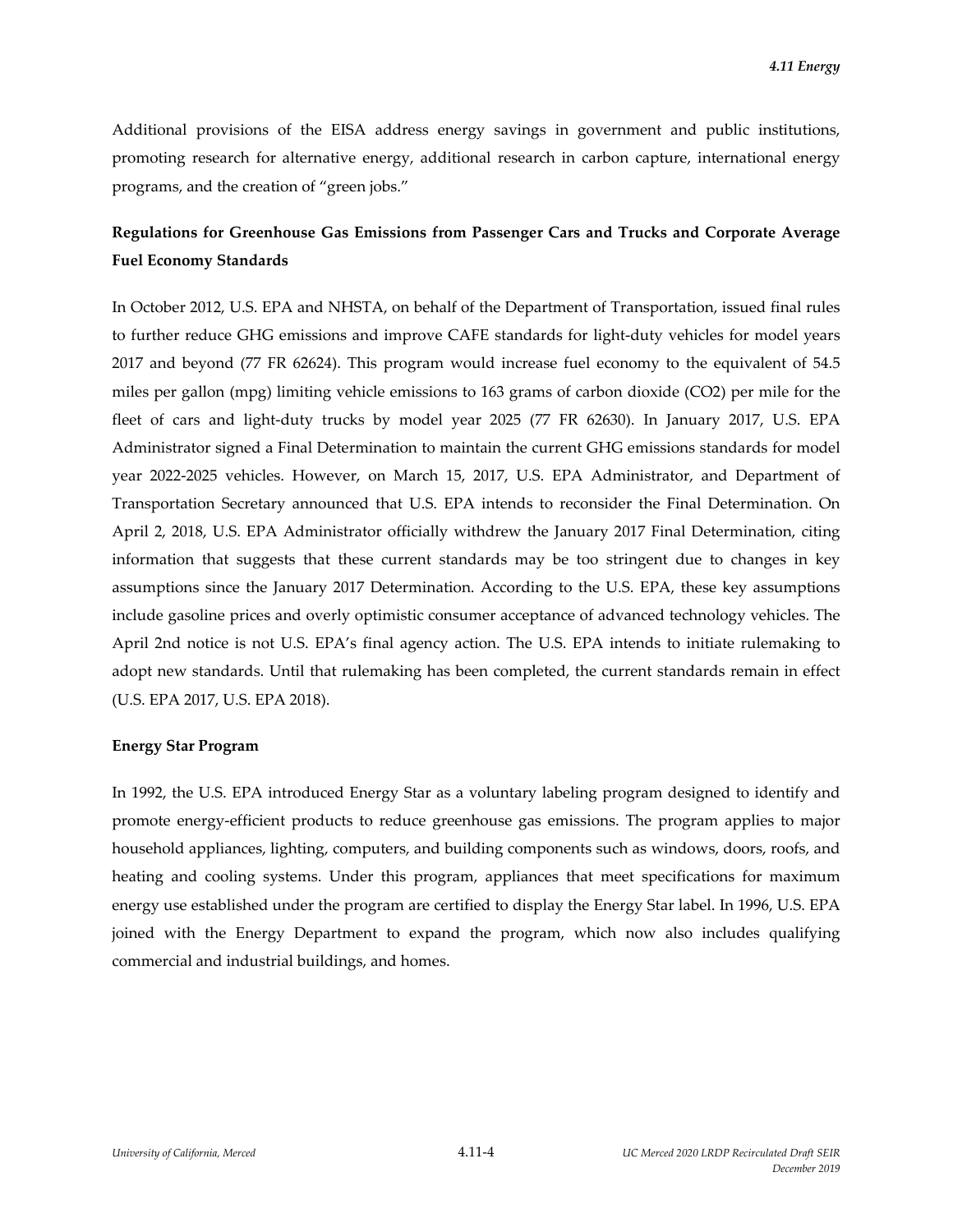Additional provisions of the EISA address energy savings in government and public institutions, promoting research for alternative energy, additional research in carbon capture, international energy programs, and the creation of "green jobs."

# **Regulations for Greenhouse Gas Emissions from Passenger Cars and Trucks and Corporate Average Fuel Economy Standards**

In October 2012, U.S. EPA and NHSTA, on behalf of the Department of Transportation, issued final rules to further reduce GHG emissions and improve CAFE standards for light-duty vehicles for model years 2017 and beyond (77 FR 62624). This program would increase fuel economy to the equivalent of 54.5 miles per gallon (mpg) limiting vehicle emissions to 163 grams of carbon dioxide (CO2) per mile for the fleet of cars and light-duty trucks by model year 2025 (77 FR 62630). In January 2017, U.S. EPA Administrator signed a Final Determination to maintain the current GHG emissions standards for model year 2022‐2025 vehicles. However, on March 15, 2017, U.S. EPA Administrator, and Department of Transportation Secretary announced that U.S. EPA intends to reconsider the Final Determination. On April 2, 2018, U.S. EPA Administrator officially withdrew the January 2017 Final Determination, citing information that suggests that these current standards may be too stringent due to changes in key assumptions since the January 2017 Determination. According to the U.S. EPA, these key assumptions include gasoline prices and overly optimistic consumer acceptance of advanced technology vehicles. The April 2nd notice is not U.S. EPA's final agency action. The U.S. EPA intends to initiate rulemaking to adopt new standards. Until that rulemaking has been completed, the current standards remain in effect (U.S. EPA 2017, U.S. EPA 2018).

#### **Energy Star Program**

In 1992, the U.S. EPA introduced Energy Star as a voluntary labeling program designed to identify and promote energy‐efficient products to reduce greenhouse gas emissions. The program applies to major household appliances, lighting, computers, and building components such as windows, doors, roofs, and heating and cooling systems. Under this program, appliances that meet specifications for maximum energy use established under the program are certified to display the Energy Star label. In 1996, U.S. EPA joined with the Energy Department to expand the program, which now also includes qualifying commercial and industrial buildings, and homes.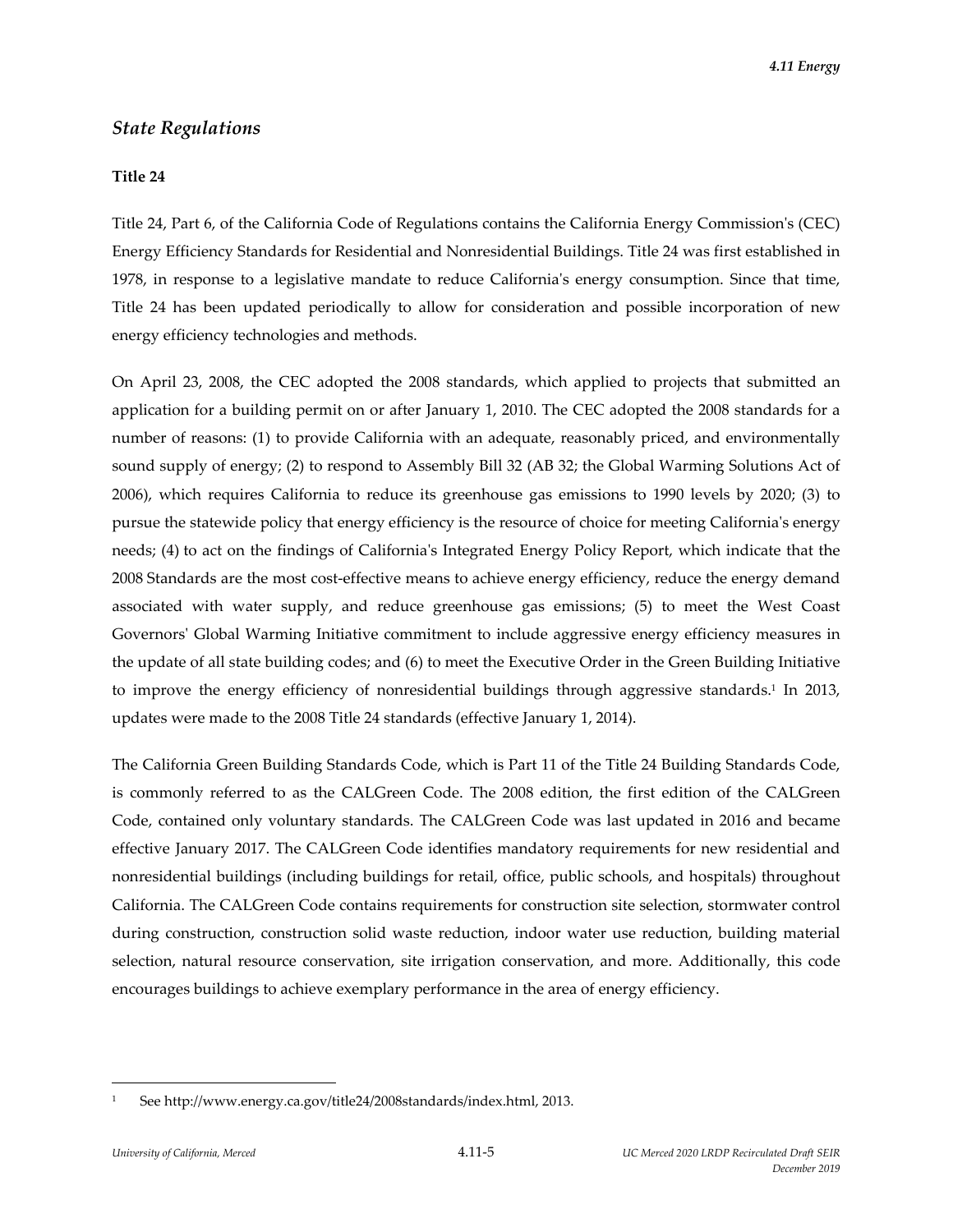### *State Regulations*

#### **Title 24**

Title 24, Part 6, of the California Code of Regulations contains the California Energy Commissionʹs (CEC) Energy Efficiency Standards for Residential and Nonresidential Buildings. Title 24 was first established in 1978, in response to a legislative mandate to reduce Californiaʹs energy consumption. Since that time, Title 24 has been updated periodically to allow for consideration and possible incorporation of new energy efficiency technologies and methods.

On April 23, 2008, the CEC adopted the 2008 standards, which applied to projects that submitted an application for a building permit on or after January 1, 2010. The CEC adopted the 2008 standards for a number of reasons: (1) to provide California with an adequate, reasonably priced, and environmentally sound supply of energy; (2) to respond to Assembly Bill 32 (AB 32; the Global Warming Solutions Act of 2006), which requires California to reduce its greenhouse gas emissions to 1990 levels by 2020; (3) to pursue the statewide policy that energy efficiency is the resource of choice for meeting California's energy needs; (4) to act on the findings of Californiaʹs Integrated Energy Policy Report, which indicate that the 2008 Standards are the most cost-effective means to achieve energy efficiency, reduce the energy demand associated with water supply, and reduce greenhouse gas emissions; (5) to meet the West Coast Governorsʹ Global Warming Initiative commitment to include aggressive energy efficiency measures in the update of all state building codes; and (6) to meet the Executive Order in the Green Building Initiative to improve the energy efficiency of nonresidential buildings through aggressive standards.<sup>1</sup> In 2013, updates were made to the 2008 Title 24 standards (effective January 1, 2014).

The California Green Building Standards Code, which is Part 11 of the Title 24 Building Standards Code, is commonly referred to as the CALGreen Code. The 2008 edition, the first edition of the CALGreen Code, contained only voluntary standards. The CALGreen Code was last updated in 2016 and became effective January 2017. The CALGreen Code identifies mandatory requirements for new residential and nonresidential buildings (including buildings for retail, office, public schools, and hospitals) throughout California. The CALGreen Code contains requirements for construction site selection, stormwater control during construction, construction solid waste reduction, indoor water use reduction, building material selection, natural resource conservation, site irrigation conservation, and more. Additionally, this code encourages buildings to achieve exemplary performance in the area of energy efficiency.

<sup>1</sup> See http://www.energy.ca.gov/title24/2008standards/index.html, 2013.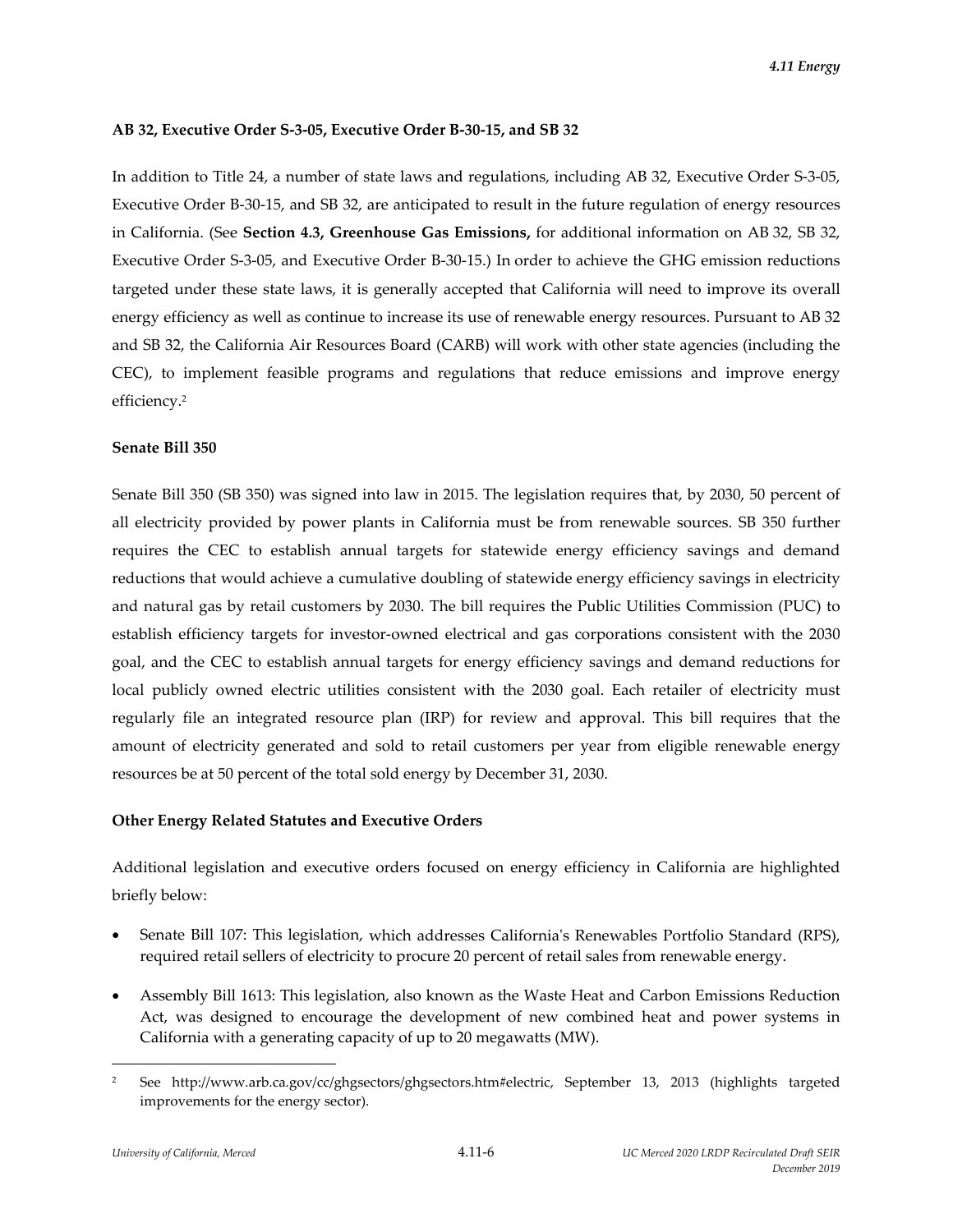#### **AB 32, Executive Order S‐3‐05, Executive Order B‐30‐15, and SB 32**

In addition to Title 24, a number of state laws and regulations, including AB 32, Executive Order S‐3‐05, Executive Order B‐30‐15, and SB 32, are anticipated to result in the future regulation of energy resources in California. (See **Section 4.3, Greenhouse Gas Emissions,** for additional information on AB 32, SB 32, Executive Order S‐3‐05, and Executive Order B‐30‐15.) In order to achieve the GHG emission reductions targeted under these state laws, it is generally accepted that California will need to improve its overall energy efficiency as well as continue to increase its use of renewable energy resources. Pursuant to AB 32 and SB 32, the California Air Resources Board (CARB) will work with other state agencies (including the CEC), to implement feasible programs and regulations that reduce emissions and improve energy efficiency.2

#### **Senate Bill 350**

Senate Bill 350 (SB 350) was signed into law in 2015. The legislation requires that, by 2030, 50 percent of all electricity provided by power plants in California must be from renewable sources. SB 350 further requires the CEC to establish annual targets for statewide energy efficiency savings and demand reductions that would achieve a cumulative doubling of statewide energy efficiency savings in electricity and natural gas by retail customers by 2030. The bill requires the Public Utilities Commission (PUC) to establish efficiency targets for investor-owned electrical and gas corporations consistent with the 2030 goal, and the CEC to establish annual targets for energy efficiency savings and demand reductions for local publicly owned electric utilities consistent with the 2030 goal. Each retailer of electricity must regularly file an integrated resource plan (IRP) for review and approval. This bill requires that the amount of electricity generated and sold to retail customers per year from eligible renewable energy resources be at 50 percent of the total sold energy by December 31, 2030.

### **Other Energy Related Statutes and Executive Orders**

Additional legislation and executive orders focused on energy efficiency in California are highlighted briefly below:

- Senate Bill 107: This legislation, which addresses Californiaʹs Renewables Portfolio Standard (RPS), required retail sellers of electricity to procure 20 percent of retail sales from renewable energy.
- Assembly Bill 1613: This legislation, also known as the Waste Heat and Carbon Emissions Reduction Act, was designed to encourage the development of new combined heat and power systems in California with a generating capacity of up to 20 megawatts (MW).

<sup>2</sup> See http://www.arb.ca.gov/cc/ghgsectors/ghgsectors.htm#electric, September 13, 2013 (highlights targeted improvements for the energy sector).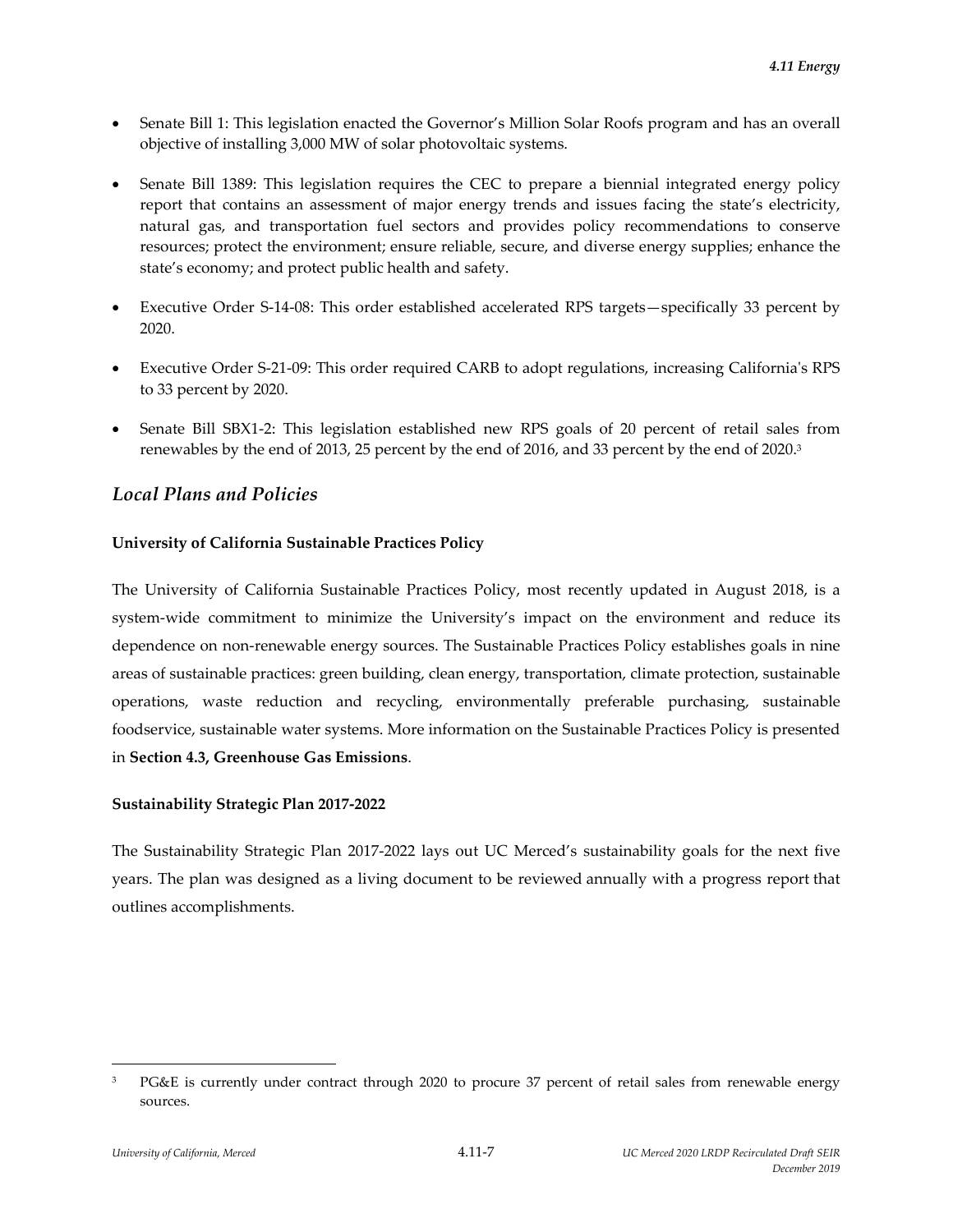- Senate Bill 1: This legislation enacted the Governor's Million Solar Roofs program and has an overall objective of installing 3,000 MW of solar photovoltaic systems.
- Senate Bill 1389: This legislation requires the CEC to prepare a biennial integrated energy policy report that contains an assessment of major energy trends and issues facing the state's electricity, natural gas, and transportation fuel sectors and provides policy recommendations to conserve resources; protect the environment; ensure reliable, secure, and diverse energy supplies; enhance the state's economy; and protect public health and safety.
- Executive Order S‐14‐08: This order established accelerated RPS targets—specifically 33 percent by 2020.
- Executive Order S‐21‐09: This order required CARB to adopt regulations, increasing Californiaʹs RPS to 33 percent by 2020.
- Senate Bill SBX1‐2: This legislation established new RPS goals of 20 percent of retail sales from renewables by the end of 2013, 25 percent by the end of 2016, and 33 percent by the end of 2020.3

# *Local Plans and Policies*

### **University of California Sustainable Practices Policy**

The University of California Sustainable Practices Policy, most recently updated in August 2018, is a system-wide commitment to minimize the University's impact on the environment and reduce its dependence on non-renewable energy sources. The Sustainable Practices Policy establishes goals in nine areas of sustainable practices: green building, clean energy, transportation, climate protection, sustainable operations, waste reduction and recycling, environmentally preferable purchasing, sustainable foodservice, sustainable water systems. More information on the Sustainable Practices Policy is presented in **Section 4.3, Greenhouse Gas Emissions**.

### **Sustainability Strategic Plan 2017‐2022**

The Sustainability Strategic Plan 2017‐2022 lays out UC Merced's sustainability goals for the next five years. The plan was designed as a living document to be reviewed annually with a progress report that outlines accomplishments.

<sup>3</sup> PG&E is currently under contract through 2020 to procure 37 percent of retail sales from renewable energy sources.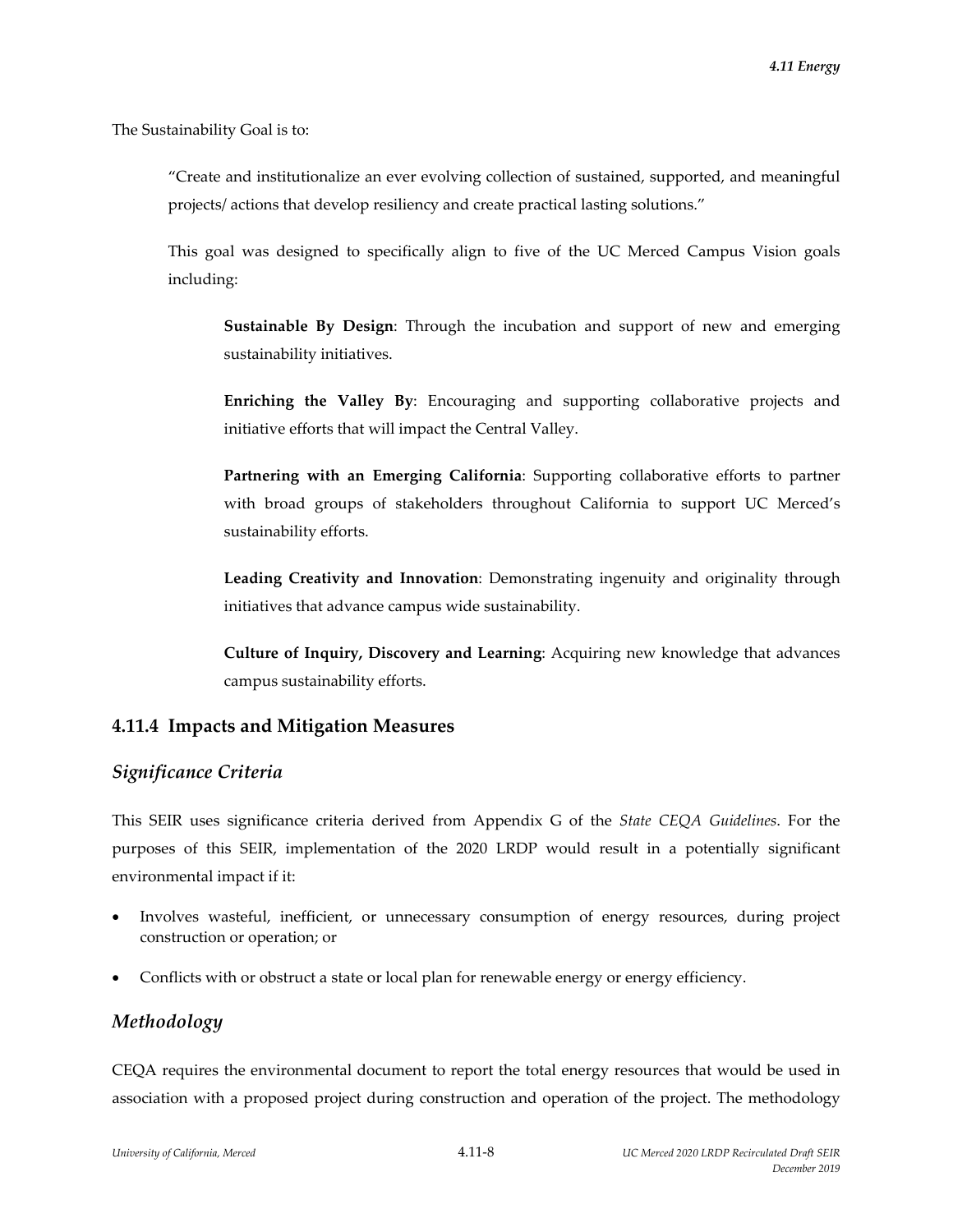The Sustainability Goal is to:

"Create and institutionalize an ever evolving collection of sustained, supported, and meaningful projects/ actions that develop resiliency and create practical lasting solutions."

This goal was designed to specifically align to five of the UC Merced Campus Vision goals including:

**Sustainable By Design**: Through the incubation and support of new and emerging sustainability initiatives.

**Enriching the Valley By**: Encouraging and supporting collaborative projects and initiative efforts that will impact the Central Valley.

**Partnering with an Emerging California**: Supporting collaborative efforts to partner with broad groups of stakeholders throughout California to support UC Merced's sustainability efforts.

**Leading Creativity and Innovation**: Demonstrating ingenuity and originality through initiatives that advance campus wide sustainability.

**Culture of Inquiry, Discovery and Learning**: Acquiring new knowledge that advances campus sustainability efforts.

### **4.11.4 Impacts and Mitigation Measures**

### *Significance Criteria*

This SEIR uses significance criteria derived from Appendix G of the *State CEQA Guidelines*. For the purposes of this SEIR, implementation of the 2020 LRDP would result in a potentially significant environmental impact if it:

- Involves wasteful, inefficient, or unnecessary consumption of energy resources, during project construction or operation; or
- Conflicts with or obstruct a state or local plan for renewable energy or energy efficiency.

# *Methodology*

CEQA requires the environmental document to report the total energy resources that would be used in association with a proposed project during construction and operation of the project. The methodology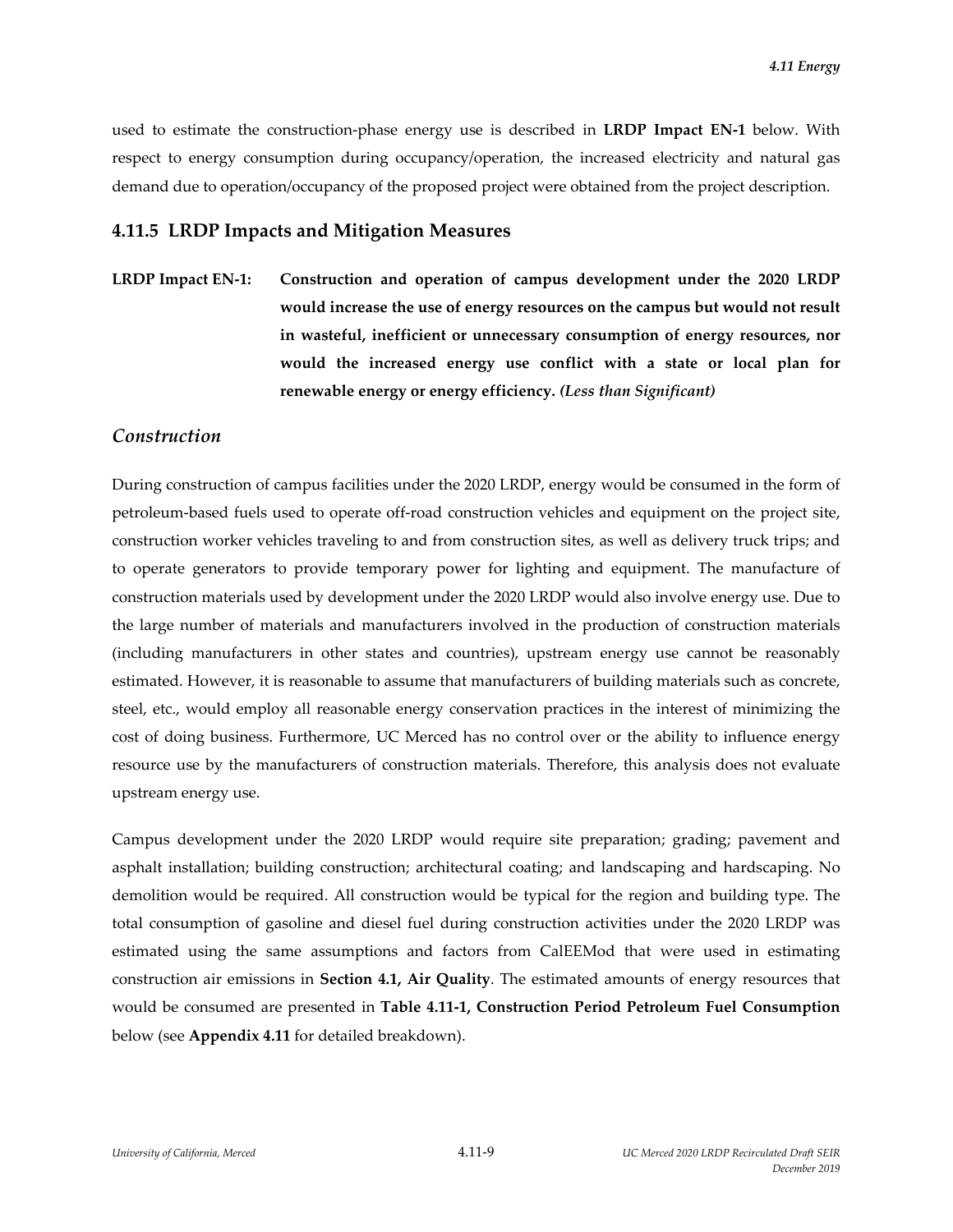used to estimate the construction‐phase energy use is described in **LRDP Impact EN‐1** below. With respect to energy consumption during occupancy/operation, the increased electricity and natural gas demand due to operation/occupancy of the proposed project were obtained from the project description.

### **4.11.5 LRDP Impacts and Mitigation Measures**

**LRDP Impact EN‐1: Construction and operation of campus development under the 2020 LRDP would increase the use of energy resources on the campus but would not result in wasteful, inefficient or unnecessary consumption of energy resources, nor would the increased energy use conflict with a state or local plan for renewable energy or energy efficiency.** *(Less than Significant)*

#### *Construction*

During construction of campus facilities under the 2020 LRDP, energy would be consumed in the form of petroleum‐based fuels used to operate off‐road construction vehicles and equipment on the project site, construction worker vehicles traveling to and from construction sites, as well as delivery truck trips; and to operate generators to provide temporary power for lighting and equipment. The manufacture of construction materials used by development under the 2020 LRDP would also involve energy use. Due to the large number of materials and manufacturers involved in the production of construction materials (including manufacturers in other states and countries), upstream energy use cannot be reasonably estimated. However, it is reasonable to assume that manufacturers of building materials such as concrete, steel, etc., would employ all reasonable energy conservation practices in the interest of minimizing the cost of doing business. Furthermore, UC Merced has no control over or the ability to influence energy resource use by the manufacturers of construction materials. Therefore, this analysis does not evaluate upstream energy use.

Campus development under the 2020 LRDP would require site preparation; grading; pavement and asphalt installation; building construction; architectural coating; and landscaping and hardscaping. No demolition would be required. All construction would be typical for the region and building type. The total consumption of gasoline and diesel fuel during construction activities under the 2020 LRDP was estimated using the same assumptions and factors from CalEEMod that were used in estimating construction air emissions in **Section 4.1, Air Quality**. The estimated amounts of energy resources that would be consumed are presented in **Table 4.11‐1, Construction Period Petroleum Fuel Consumption** below (see **Appendix 4.11** for detailed breakdown).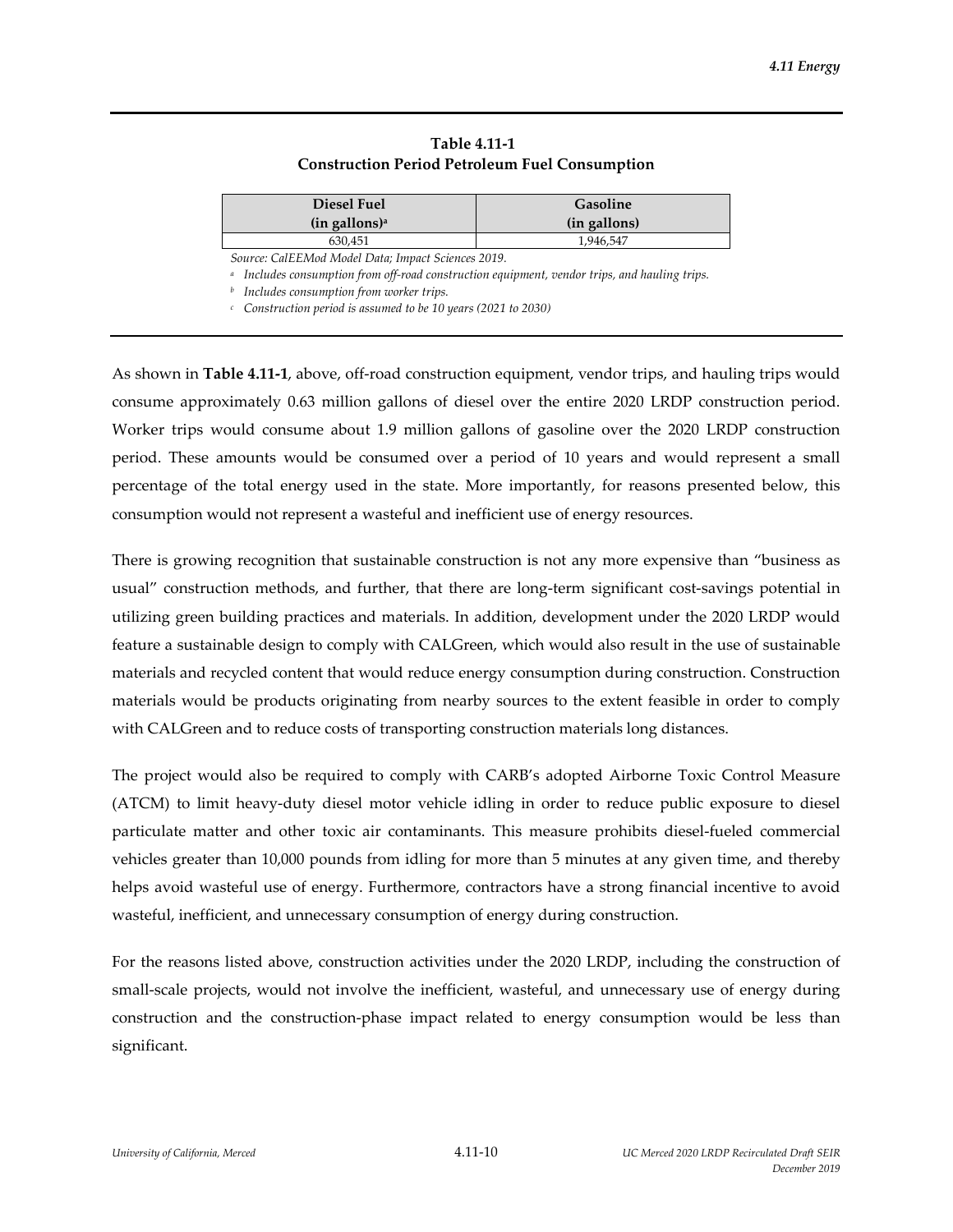| Table 4.11-1                                          |
|-------------------------------------------------------|
| <b>Construction Period Petroleum Fuel Consumption</b> |

| Diesel Fuel                                        | <b>Gasoline</b> |  |  |  |
|----------------------------------------------------|-----------------|--|--|--|
| $(in$ gallons) <sup>a</sup>                        | (in gallons)    |  |  |  |
| 630.451                                            | 1.946.547       |  |  |  |
| Source: CalEEMod Model Data; Impact Sciences 2019. |                 |  |  |  |

*<sup>a</sup> Includes consumption from off‐road construction equipment, vendor trips, and hauling trips.*

*<sup>b</sup> Includes consumption from worker trips.*

*<sup>c</sup> Construction period is assumed to be 10 years (2021 to 2030)*

As shown in **Table 4.11‐1**, above, off‐road construction equipment, vendor trips, and hauling trips would consume approximately 0.63 million gallons of diesel over the entire 2020 LRDP construction period. Worker trips would consume about 1.9 million gallons of gasoline over the 2020 LRDP construction period. These amounts would be consumed over a period of 10 years and would represent a small percentage of the total energy used in the state. More importantly, for reasons presented below, this consumption would not represent a wasteful and inefficient use of energy resources.

There is growing recognition that sustainable construction is not any more expensive than "business as usual" construction methods, and further, that there are long-term significant cost-savings potential in utilizing green building practices and materials. In addition, development under the 2020 LRDP would feature a sustainable design to comply with CALGreen, which would also result in the use of sustainable materials and recycled content that would reduce energy consumption during construction. Construction materials would be products originating from nearby sources to the extent feasible in order to comply with CALGreen and to reduce costs of transporting construction materials long distances.

The project would also be required to comply with CARB's adopted Airborne Toxic Control Measure (ATCM) to limit heavy‐duty diesel motor vehicle idling in order to reduce public exposure to diesel particulate matter and other toxic air contaminants. This measure prohibits diesel‐fueled commercial vehicles greater than 10,000 pounds from idling for more than 5 minutes at any given time, and thereby helps avoid wasteful use of energy. Furthermore, contractors have a strong financial incentive to avoid wasteful, inefficient, and unnecessary consumption of energy during construction.

For the reasons listed above, construction activities under the 2020 LRDP, including the construction of small-scale projects, would not involve the inefficient, wasteful, and unnecessary use of energy during construction and the construction‐phase impact related to energy consumption would be less than significant.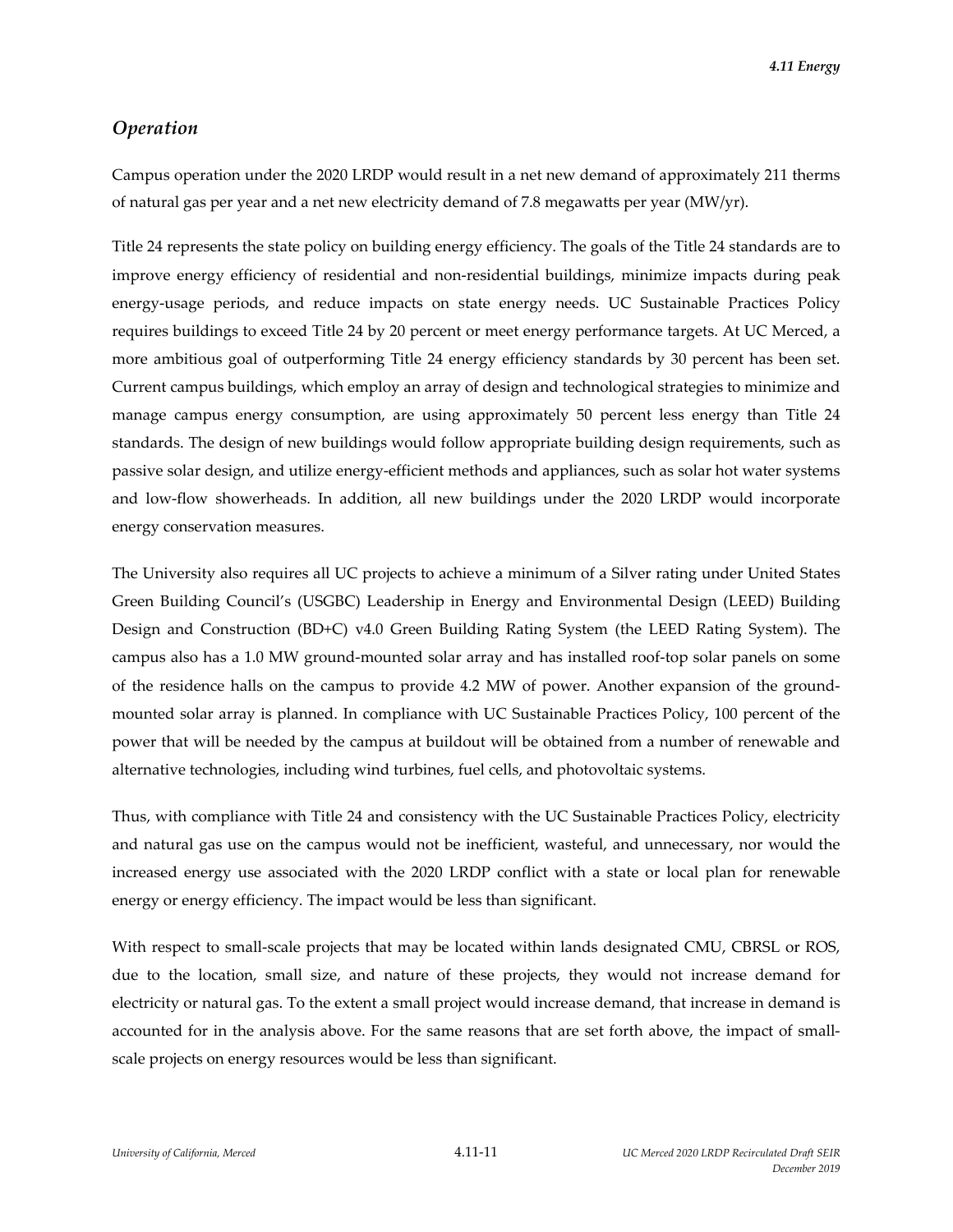*4.11 Energy*

## *Operation*

Campus operation under the 2020 LRDP would result in a net new demand of approximately 211 therms of natural gas per year and a net new electricity demand of 7.8 megawatts per year (MW/yr).

Title 24 represents the state policy on building energy efficiency. The goals of the Title 24 standards are to improve energy efficiency of residential and non-residential buildings, minimize impacts during peak energy-usage periods, and reduce impacts on state energy needs. UC Sustainable Practices Policy requires buildings to exceed Title 24 by 20 percent or meet energy performance targets. At UC Merced, a more ambitious goal of outperforming Title 24 energy efficiency standards by 30 percent has been set. Current campus buildings, which employ an array of design and technological strategies to minimize and manage campus energy consumption, are using approximately 50 percent less energy than Title 24 standards. The design of new buildings would follow appropriate building design requirements, such as passive solar design, and utilize energy‐efficient methods and appliances, such as solar hot water systems and low‐flow showerheads. In addition, all new buildings under the 2020 LRDP would incorporate energy conservation measures.

The University also requires all UC projects to achieve a minimum of a Silver rating under United States Green Building Council's (USGBC) Leadership in Energy and Environmental Design (LEED) Building Design and Construction (BD+C) v4.0 Green Building Rating System (the LEED Rating System). The campus also has a 1.0 MW ground‐mounted solar array and has installed roof‐top solar panels on some of the residence halls on the campus to provide 4.2 MW of power. Another expansion of the ground‐ mounted solar array is planned. In compliance with UC Sustainable Practices Policy, 100 percent of the power that will be needed by the campus at buildout will be obtained from a number of renewable and alternative technologies, including wind turbines, fuel cells, and photovoltaic systems.

Thus, with compliance with Title 24 and consistency with the UC Sustainable Practices Policy, electricity and natural gas use on the campus would not be inefficient, wasteful, and unnecessary, nor would the increased energy use associated with the 2020 LRDP conflict with a state or local plan for renewable energy or energy efficiency. The impact would be less than significant.

With respect to small-scale projects that may be located within lands designated CMU, CBRSL or ROS, due to the location, small size, and nature of these projects, they would not increase demand for electricity or natural gas. To the extent a small project would increase demand, that increase in demand is accounted for in the analysis above. For the same reasons that are set forth above, the impact of smallscale projects on energy resources would be less than significant.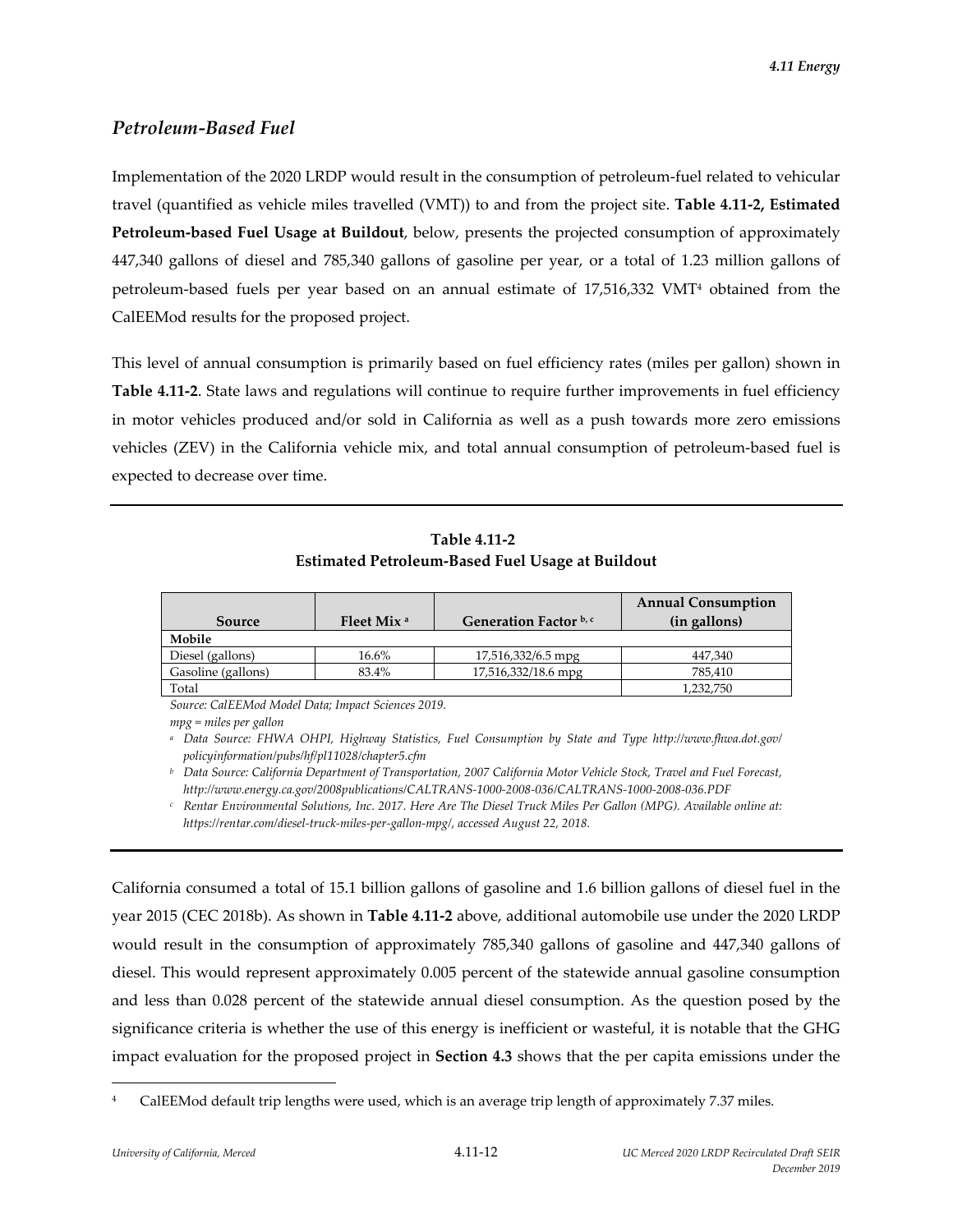# *Petroleum‐Based Fuel*

Implementation of the 2020 LRDP would result in the consumption of petroleum‐fuel related to vehicular travel (quantified as vehicle miles travelled (VMT)) to and from the project site. **Table 4.11‐2, Estimated Petroleum‐based Fuel Usage at Buildout**, below, presents the projected consumption of approximately 447,340 gallons of diesel and 785,340 gallons of gasoline per year, or a total of 1.23 million gallons of petroleum‐based fuels per year based on an annual estimate of 17,516,332 VMT4 obtained from the CalEEMod results for the proposed project.

This level of annual consumption is primarily based on fuel efficiency rates (miles per gallon) shown in **Table 4.11‐2**. State laws and regulations will continue to require further improvements in fuel efficiency in motor vehicles produced and/or sold in California as well as a push towards more zero emissions vehicles (ZEV) in the California vehicle mix, and total annual consumption of petroleum‐based fuel is expected to decrease over time.

| Table 4.11-2                                     |
|--------------------------------------------------|
| Estimated Petroleum-Based Fuel Usage at Buildout |

|                    |                        |                        | <b>Annual Consumption</b> |
|--------------------|------------------------|------------------------|---------------------------|
| Source             | Fleet Mix <sup>a</sup> | Generation Factor b, c | (in gallons)              |
| Mobile             |                        |                        |                           |
| Diesel (gallons)   | 16.6%                  | 17,516,332/6.5 mpg     | 447.340                   |
| Gasoline (gallons) | 83.4%                  | 17,516,332/18.6 mpg    | 785.410                   |
| Total              |                        |                        | 1,232,750                 |

*Source: CalEEMod Model Data; Impact Sciences 2019.*

*mpg = miles per gallon* 

*<sup>a</sup> Data Source: FHWA OHPI, Highway Statistics, Fuel Consumption by State and Type http://www.fhwa.dot.gov/ policyinformation/pubs/hf/pl11028/chapter5.cfm*

<sup>b</sup> Data Source: California Department of Transportation, 2007 California Motor Vehicle Stock, Travel and Fuel Forecast, *http://www.energy.ca.gov/2008publications/CALTRANS‐1000‐2008‐036/CALTRANS‐1000‐2008‐036.PDF*

<sup>c</sup> Rentar Environmental Solutions, Inc. 2017. Here Are The Diesel Truck Miles Per Gallon (MPG). Available online at: *https://rentar.com/diesel‐truck‐miles‐per‐gallon‐mpg/, accessed August 22, 2018.*

California consumed a total of 15.1 billion gallons of gasoline and 1.6 billion gallons of diesel fuel in the year 2015 (CEC 2018b). As shown in **Table 4.11‐2** above, additional automobile use under the 2020 LRDP would result in the consumption of approximately 785,340 gallons of gasoline and 447,340 gallons of diesel. This would represent approximately 0.005 percent of the statewide annual gasoline consumption and less than 0.028 percent of the statewide annual diesel consumption. As the question posed by the significance criteria is whether the use of this energy is inefficient or wasteful, it is notable that the GHG impact evaluation for the proposed project in **Section 4.3** shows that the per capita emissions under the

CalEEMod default trip lengths were used, which is an average trip length of approximately 7.37 miles.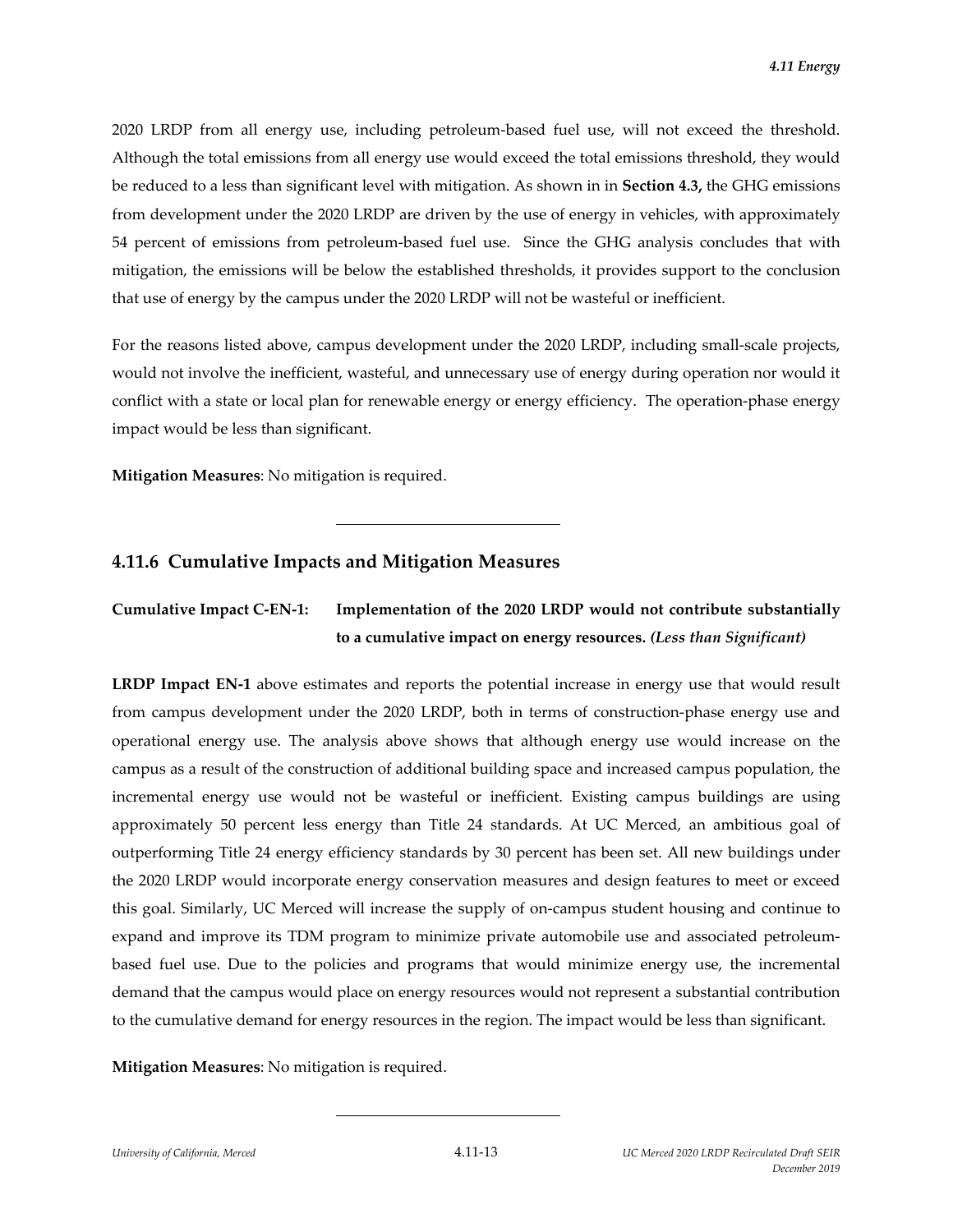2020 LRDP from all energy use, including petroleum‐based fuel use, will not exceed the threshold. Although the total emissions from all energy use would exceed the total emissions threshold, they would be reduced to a less than significant level with mitigation. As shown in in **Section 4.3,** the GHG emissions from development under the 2020 LRDP are driven by the use of energy in vehicles, with approximately 54 percent of emissions from petroleum‐based fuel use. Since the GHG analysis concludes that with mitigation, the emissions will be below the established thresholds, it provides support to the conclusion that use of energy by the campus under the 2020 LRDP will not be wasteful or inefficient.

For the reasons listed above, campus development under the 2020 LRDP, including small-scale projects, would not involve the inefficient, wasteful, and unnecessary use of energy during operation nor would it conflict with a state or local plan for renewable energy or energy efficiency. The operation-phase energy impact would be less than significant.

**Mitigation Measures**: No mitigation is required.

# **4.11.6 Cumulative Impacts and Mitigation Measures**

l

**Cumulative Impact C‐EN‐1: Implementation of the 2020 LRDP would not contribute substantially to a cumulative impact on energy resources.** *(Less than Significant)*

**LRDP Impact EN‐1** above estimates and reports the potential increase in energy use that would result from campus development under the 2020 LRDP, both in terms of construction-phase energy use and operational energy use. The analysis above shows that although energy use would increase on the campus as a result of the construction of additional building space and increased campus population, the incremental energy use would not be wasteful or inefficient. Existing campus buildings are using approximately 50 percent less energy than Title 24 standards. At UC Merced, an ambitious goal of outperforming Title 24 energy efficiency standards by 30 percent has been set. All new buildings under the 2020 LRDP would incorporate energy conservation measures and design features to meet or exceed this goal. Similarly, UC Merced will increase the supply of on‐campus student housing and continue to expand and improve its TDM program to minimize private automobile use and associated petroleumbased fuel use. Due to the policies and programs that would minimize energy use, the incremental demand that the campus would place on energy resources would not represent a substantial contribution to the cumulative demand for energy resources in the region. The impact would be less than significant.

**Mitigation Measures**: No mitigation is required.

l